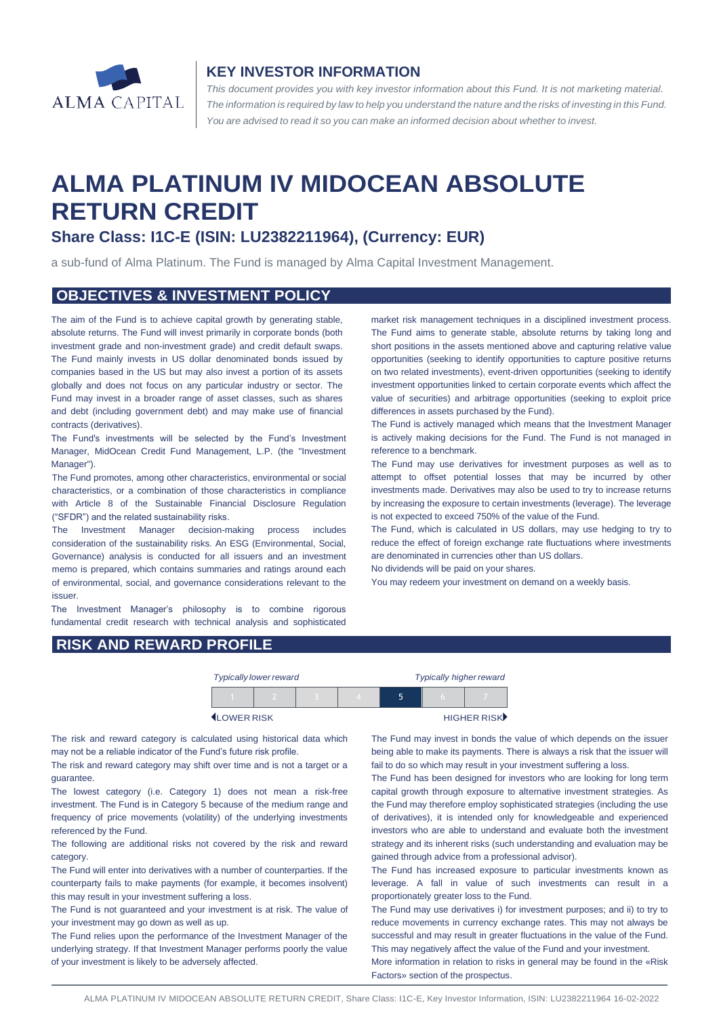

#### **KEY INVESTOR INFORMATION**

*This document provides you with key investor information about this Fund. It is not marketing material.*  The information is required by law to help you understand the nature and the risks of investing in this Fund. *You are advised to read it so you can make an informed decision about whether to invest.*

# **ALMA PLATINUM IV MIDOCEAN ABSOLUTE RETURN CREDIT**

# **Share Class: I1C-E (ISIN: LU2382211964), (Currency: EUR)**

a sub-fund of Alma Platinum. The Fund is managed by Alma Capital Investment Management.

#### **OBJECTIVES & INVESTMENT POLICY**

The aim of the Fund is to achieve capital growth by generating stable, absolute returns. The Fund will invest primarily in corporate bonds (both investment grade and non-investment grade) and credit default swaps. The Fund mainly invests in US dollar denominated bonds issued by companies based in the US but may also invest a portion of its assets globally and does not focus on any particular industry or sector. The Fund may invest in a broader range of asset classes, such as shares and debt (including government debt) and may make use of financial contracts (derivatives).

The Fund's investments will be selected by the Fund's Investment Manager, MidOcean Credit Fund Management, L.P. (the "Investment Manager").

The Fund promotes, among other characteristics, environmental or social characteristics, or a combination of those characteristics in compliance with Article 8 of the Sustainable Financial Disclosure Regulation ("SFDR") and the related sustainability risks.

The Investment Manager decision-making process includes consideration of the sustainability risks. An ESG (Environmental, Social, Governance) analysis is conducted for all issuers and an investment memo is prepared, which contains summaries and ratings around each of environmental, social, and governance considerations relevant to the issuer.

The Investment Manager's philosophy is to combine rigorous fundamental credit research with technical analysis and sophisticated

market risk management techniques in a disciplined investment process. The Fund aims to generate stable, absolute returns by taking long and short positions in the assets mentioned above and capturing relative value opportunities (seeking to identify opportunities to capture positive returns on two related investments), event-driven opportunities (seeking to identify investment opportunities linked to certain corporate events which affect the value of securities) and arbitrage opportunities (seeking to exploit price differences in assets purchased by the Fund).

The Fund is actively managed which means that the Investment Manager is actively making decisions for the Fund. The Fund is not managed in reference to a benchmark.

The Fund may use derivatives for investment purposes as well as to attempt to offset potential losses that may be incurred by other investments made. Derivatives may also be used to try to increase returns by increasing the exposure to certain investments (leverage). The leverage is not expected to exceed 750% of the value of the Fund.

The Fund, which is calculated in US dollars, may use hedging to try to reduce the effect of foreign exchange rate fluctuations where investments are denominated in currencies other than US dollars.

No dividends will be paid on your shares.

You may redeem your investment on demand on a weekly basis.

### **RISK AND REWARD PROFILE**

|                   | <b>Typically lower reward</b> |  | <b>Typically higher reward</b> |  |  |             |
|-------------------|-------------------------------|--|--------------------------------|--|--|-------------|
|                   |                               |  |                                |  |  |             |
| <b>LOWER RISK</b> |                               |  |                                |  |  | HIGHER RISK |

The risk and reward category is calculated using historical data which may not be a reliable indicator of the Fund's future risk profile.

The risk and reward category may shift over time and is not a target or a guarantee.

The lowest category (i.e. Category 1) does not mean a risk-free investment. The Fund is in Category 5 because of the medium range and frequency of price movements (volatility) of the underlying investments referenced by the Fund.

The following are additional risks not covered by the risk and reward category.

The Fund will enter into derivatives with a number of counterparties. If the counterparty fails to make payments (for example, it becomes insolvent) this may result in your investment suffering a loss.

The Fund is not guaranteed and your investment is at risk. The value of your investment may go down as well as up.

The Fund relies upon the performance of the Investment Manager of the underlying strategy. If that Investment Manager performs poorly the value of your investment is likely to be adversely affected.

The Fund may invest in bonds the value of which depends on the issuer being able to make its payments. There is always a risk that the issuer will fail to do so which may result in your investment suffering a loss.

The Fund has been designed for investors who are looking for long term capital growth through exposure to alternative investment strategies. As the Fund may therefore employ sophisticated strategies (including the use of derivatives), it is intended only for knowledgeable and experienced investors who are able to understand and evaluate both the investment strategy and its inherent risks (such understanding and evaluation may be gained through advice from a professional advisor).

The Fund has increased exposure to particular investments known as leverage. A fall in value of such investments can result in a proportionately greater loss to the Fund.

The Fund may use derivatives i) for investment purposes; and ii) to try to reduce movements in currency exchange rates. This may not always be successful and may result in greater fluctuations in the value of the Fund. This may negatively affect the value of the Fund and your investment.

More information in relation to risks in general may be found in the «Risk Factors» section of the prospectus.